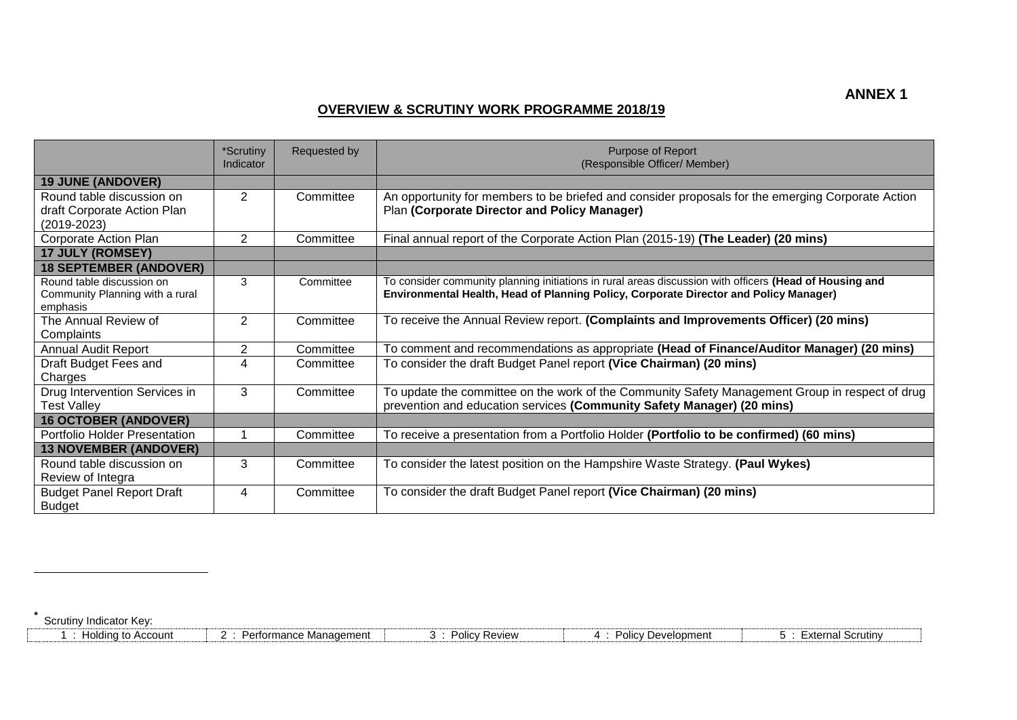## **OVERVIEW & SCRUTINY WORK PROGRAMME 2018/19**

|                                                                             | *Scrutiny<br>Indicator | Requested by | Purpose of Report<br>(Responsible Officer/ Member)                                                                                                                                               |
|-----------------------------------------------------------------------------|------------------------|--------------|--------------------------------------------------------------------------------------------------------------------------------------------------------------------------------------------------|
| <b>19 JUNE (ANDOVER)</b>                                                    |                        |              |                                                                                                                                                                                                  |
| Round table discussion on<br>draft Corporate Action Plan<br>$(2019 - 2023)$ | 2                      | Committee    | An opportunity for members to be briefed and consider proposals for the emerging Corporate Action<br>Plan (Corporate Director and Policy Manager)                                                |
| Corporate Action Plan                                                       | 2                      | Committee    | Final annual report of the Corporate Action Plan (2015-19) (The Leader) (20 mins)                                                                                                                |
| <b>17 JULY (ROMSEY)</b>                                                     |                        |              |                                                                                                                                                                                                  |
| <b>18 SEPTEMBER (ANDOVER)</b>                                               |                        |              |                                                                                                                                                                                                  |
| Round table discussion on<br>Community Planning with a rural<br>emphasis    | 3                      | Committee    | To consider community planning initiations in rural areas discussion with officers (Head of Housing and<br>Environmental Health, Head of Planning Policy, Corporate Director and Policy Manager) |
| The Annual Review of<br>Complaints                                          | 2                      | Committee    | To receive the Annual Review report. (Complaints and Improvements Officer) (20 mins)                                                                                                             |
| <b>Annual Audit Report</b>                                                  | 2                      | Committee    | To comment and recommendations as appropriate (Head of Finance/Auditor Manager) (20 mins)                                                                                                        |
| Draft Budget Fees and<br>Charges                                            | 4                      | Committee    | To consider the draft Budget Panel report (Vice Chairman) (20 mins)                                                                                                                              |
| Drug Intervention Services in<br><b>Test Valley</b>                         | 3                      | Committee    | To update the committee on the work of the Community Safety Management Group in respect of drug<br>prevention and education services (Community Safety Manager) (20 mins)                        |
| <b>16 OCTOBER (ANDOVER)</b>                                                 |                        |              |                                                                                                                                                                                                  |
| <b>Portfolio Holder Presentation</b>                                        |                        | Committee    | To receive a presentation from a Portfolio Holder (Portfolio to be confirmed) (60 mins)                                                                                                          |
| <b>13 NOVEMBER (ANDOVER)</b>                                                |                        |              |                                                                                                                                                                                                  |
| Round table discussion on<br>Review of Integra                              | 3                      | Committee    | To consider the latest position on the Hampshire Waste Strategy. (Paul Wykes)                                                                                                                    |
| <b>Budget Panel Report Draft</b><br><b>Budget</b>                           | 4                      | Committee    | To consider the draft Budget Panel report (Vice Chairman) (20 mins)                                                                                                                              |

**\*** Scrutiny Indicator Key:

 $\overline{a}$ 

| Holding to Account | Performance Management | <b>Policy Review</b> | <sup>,</sup> Development<br><b>Policy</b> | External Scrutin∨ |
|--------------------|------------------------|----------------------|-------------------------------------------|-------------------|
|                    |                        |                      |                                           |                   |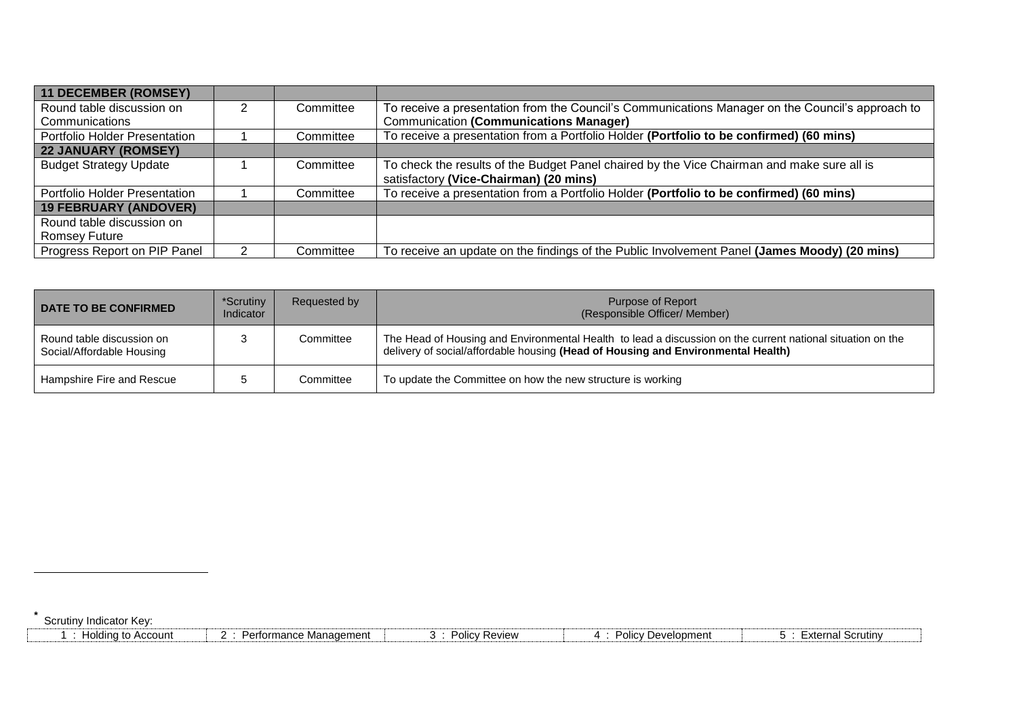| <b>11 DECEMBER (ROMSEY)</b>          |   |           |                                                                                                  |
|--------------------------------------|---|-----------|--------------------------------------------------------------------------------------------------|
| Round table discussion on            | 2 | Committee | To receive a presentation from the Council's Communications Manager on the Council's approach to |
| Communications                       |   |           | <b>Communication (Communications Manager)</b>                                                    |
| Portfolio Holder Presentation        |   | Committee | To receive a presentation from a Portfolio Holder (Portfolio to be confirmed) (60 mins)          |
| <b>22 JANUARY (ROMSEY)</b>           |   |           |                                                                                                  |
| <b>Budget Strategy Update</b>        |   | Committee | To check the results of the Budget Panel chaired by the Vice Chairman and make sure all is       |
|                                      |   |           | satisfactory (Vice-Chairman) (20 mins)                                                           |
| <b>Portfolio Holder Presentation</b> |   | Committee | To receive a presentation from a Portfolio Holder (Portfolio to be confirmed) (60 mins)          |
| <b>19 FEBRUARY (ANDOVER)</b>         |   |           |                                                                                                  |
| Round table discussion on            |   |           |                                                                                                  |
| Romsey Future                        |   |           |                                                                                                  |
| Progress Report on PIP Panel         |   | Committee | To receive an update on the findings of the Public Involvement Panel (James Moody) (20 mins)     |

| <b>DATE TO BE CONFIRMED</b>                            | *Scrutiny<br>Indicator | Requested by | Purpose of Report<br>(Responsible Officer/ Member)                                                                                                                                             |
|--------------------------------------------------------|------------------------|--------------|------------------------------------------------------------------------------------------------------------------------------------------------------------------------------------------------|
| Round table discussion on<br>Social/Affordable Housing |                        | Committee    | The Head of Housing and Environmental Health to lead a discussion on the current national situation on the<br>delivery of social/affordable housing (Head of Housing and Environmental Health) |
| Hampshire Fire and Rescue                              |                        | Committee    | To update the Committee on how the new structure is working                                                                                                                                    |

Scrutiny Indicator Key:

**\***

 $\overline{a}$ 

| Performance Management<br>Policy Review<br>' Development<br>Polic | Holding to Account | $\sum_{i=1}^{n}$<br>:xternal<br>. טטו שט |
|-------------------------------------------------------------------|--------------------|------------------------------------------|
|-------------------------------------------------------------------|--------------------|------------------------------------------|